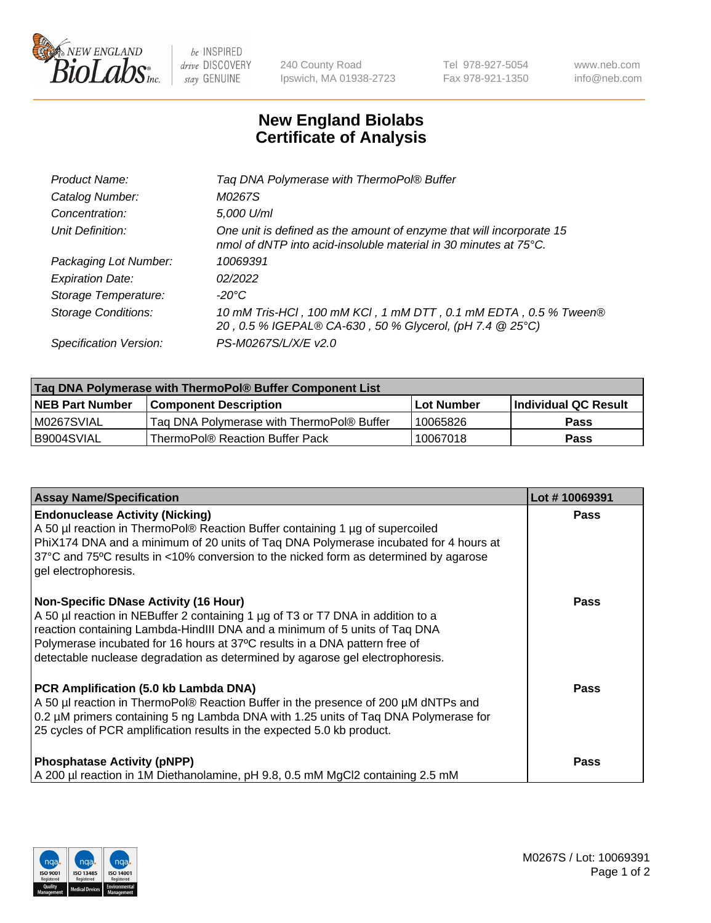

 $be$  INSPIRED drive DISCOVERY stay GENUINE

240 County Road Ipswich, MA 01938-2723 Tel 978-927-5054 Fax 978-921-1350 www.neb.com info@neb.com

## **New England Biolabs Certificate of Analysis**

| Tag DNA Polymerase with ThermoPol® Buffer                                                                                                |
|------------------------------------------------------------------------------------------------------------------------------------------|
| M0267S                                                                                                                                   |
| 5,000 U/ml                                                                                                                               |
| One unit is defined as the amount of enzyme that will incorporate 15<br>nmol of dNTP into acid-insoluble material in 30 minutes at 75°C. |
| 10069391                                                                                                                                 |
| 02/2022                                                                                                                                  |
| $-20^{\circ}$ C                                                                                                                          |
| 10 mM Tris-HCl, 100 mM KCl, 1 mM DTT, 0.1 mM EDTA, 0.5 % Tween®<br>20, 0.5 % IGEPAL® CA-630, 50 % Glycerol, (pH 7.4 @ 25°C)              |
| PS-M0267S/L/X/E v2.0                                                                                                                     |
|                                                                                                                                          |

| ∣Taq DNA Polymerase with ThermoPol® Buffer Component List |                                           |                   |                      |  |  |
|-----------------------------------------------------------|-------------------------------------------|-------------------|----------------------|--|--|
| <b>NEB Part Number</b>                                    | <b>Component Description</b>              | <b>Lot Number</b> | Individual QC Result |  |  |
| M0267SVIAL                                                | Tag DNA Polymerase with ThermoPol® Buffer | 10065826          | Pass                 |  |  |
| B9004SVIAL                                                | ThermoPol® Reaction Buffer Pack           | 10067018          | Pass                 |  |  |

| <b>Assay Name/Specification</b>                                                                                                                                                                                                                                                                                                                                              | Lot #10069391 |
|------------------------------------------------------------------------------------------------------------------------------------------------------------------------------------------------------------------------------------------------------------------------------------------------------------------------------------------------------------------------------|---------------|
| <b>Endonuclease Activity (Nicking)</b><br>A 50 µl reaction in ThermoPol® Reaction Buffer containing 1 µg of supercoiled<br>PhiX174 DNA and a minimum of 20 units of Taq DNA Polymerase incubated for 4 hours at<br>37°C and 75°C results in <10% conversion to the nicked form as determined by agarose<br>gel electrophoresis.                                              | <b>Pass</b>   |
| <b>Non-Specific DNase Activity (16 Hour)</b><br>A 50 µl reaction in NEBuffer 2 containing 1 µg of T3 or T7 DNA in addition to a<br>reaction containing Lambda-HindIII DNA and a minimum of 5 units of Taq DNA<br>Polymerase incubated for 16 hours at 37°C results in a DNA pattern free of<br>detectable nuclease degradation as determined by agarose gel electrophoresis. | <b>Pass</b>   |
| PCR Amplification (5.0 kb Lambda DNA)<br>A 50 µl reaction in ThermoPol® Reaction Buffer in the presence of 200 µM dNTPs and<br>0.2 µM primers containing 5 ng Lambda DNA with 1.25 units of Taq DNA Polymerase for<br>25 cycles of PCR amplification results in the expected 5.0 kb product.                                                                                 | Pass          |
| <b>Phosphatase Activity (pNPP)</b><br>A 200 µl reaction in 1M Diethanolamine, pH 9.8, 0.5 mM MgCl2 containing 2.5 mM                                                                                                                                                                                                                                                         | <b>Pass</b>   |